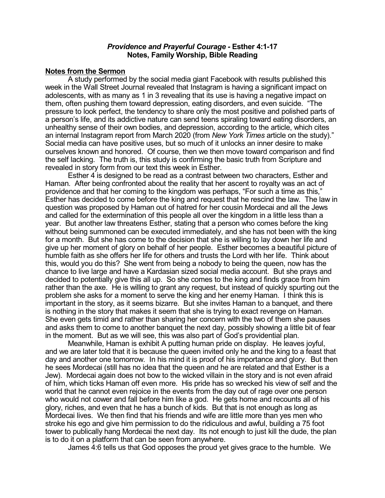## *Providence and Prayerful Courage -* **Esther 4:1-17 Notes, Family Worship, Bible Reading**

## **Notes from the Sermon**

A study performed by the social media giant Facebook with results published this week in the Wall Street Journal revealed that Instagram is having a significant impact on adolescents, with as many as 1 in 3 revealing that its use is having a negative impact on them, often pushing them toward depression, eating disorders, and even suicide. "The pressure to look perfect, the tendency to share only the most positive and polished parts of a person's life, and its addictive nature can send teens spiraling toward eating disorders, an unhealthy sense of their own bodies, and depression, according to the article, which cites an internal Instagram report from March 2020 (from *New York Times* article on the study)." Social media can have positive uses, but so much of it unlocks an inner desire to make ourselves known and honored. Of course, then we then move toward comparison and find the self lacking. The truth is, this study is confirming the basic truth from Scripture and revealed in story form from our text this week in Esther.

Esther 4 is designed to be read as a contrast between two characters, Esther and Haman. After being confronted about the reality that her ascent to royalty was an act of providence and that her coming to the kingdom was perhaps, "For such a time as this," Esther has decided to come before the king and request that he rescind the law. The law in question was proposed by Haman out of hatred for her cousin Mordecai and all the Jews and called for the extermination of this people all over the kingdom in a little less than a year. But another law threatens Esther, stating that a person who comes before the king without being summoned can be executed immediately, and she has not been with the king for a month. But she has come to the decision that she is willing to lay down her life and give up her moment of glory on behalf of her people. Esther becomes a beautiful picture of humble faith as she offers her life for others and trusts the Lord with her life. Think about this, would you do this? She went from being a nobody to being the queen, now has the chance to live large and have a Kardasian sized social media account. But she prays and decided to potentially give this all up. So she comes to the king and finds grace from him rather than the axe. He is willing to grant any request, but instead of quickly spurting out the problem she asks for a moment to serve the king and her enemy Haman. I think this is important in the story, as it seems bizarre. But she invites Haman to a banquet, and there is nothing in the story that makes it seem that she is trying to exact revenge on Haman. She even gets timid and rather than sharing her concern with the two of them she pauses and asks them to come to another banquet the next day, possibly showing a little bit of fear in the moment. But as we will see, this was also part of God's providential plan.

Meanwhile, Haman is exhibit A putting human pride on display. He leaves joyful, and we are later told that it is because the queen invited only he and the king to a feast that day and another one tomorrow. In his mind it is proof of his importance and glory. But then he sees Mordecai (still has no idea that the queen and he are related and that Esther is a Jew). Mordecai again does not bow to the wicked villain in the story and is not even afraid of him, which ticks Haman off even more. His pride has so wrecked his view of self and the world that he cannot even rejoice in the events from the day out of rage over one person who would not cower and fall before him like a god. He gets home and recounts all of his glory, riches, and even that he has a bunch of kids. But that is not enough as long as Mordecai lives. We then find that his friends and wife are little more than yes men who stroke his ego and give him permission to do the ridiculous and awful, building a 75 foot tower to publically hang Mordecai the next day. Its not enough to just kill the dude, the plan is to do it on a platform that can be seen from anywhere.

James 4:6 tells us that God opposes the proud yet gives grace to the humble. We